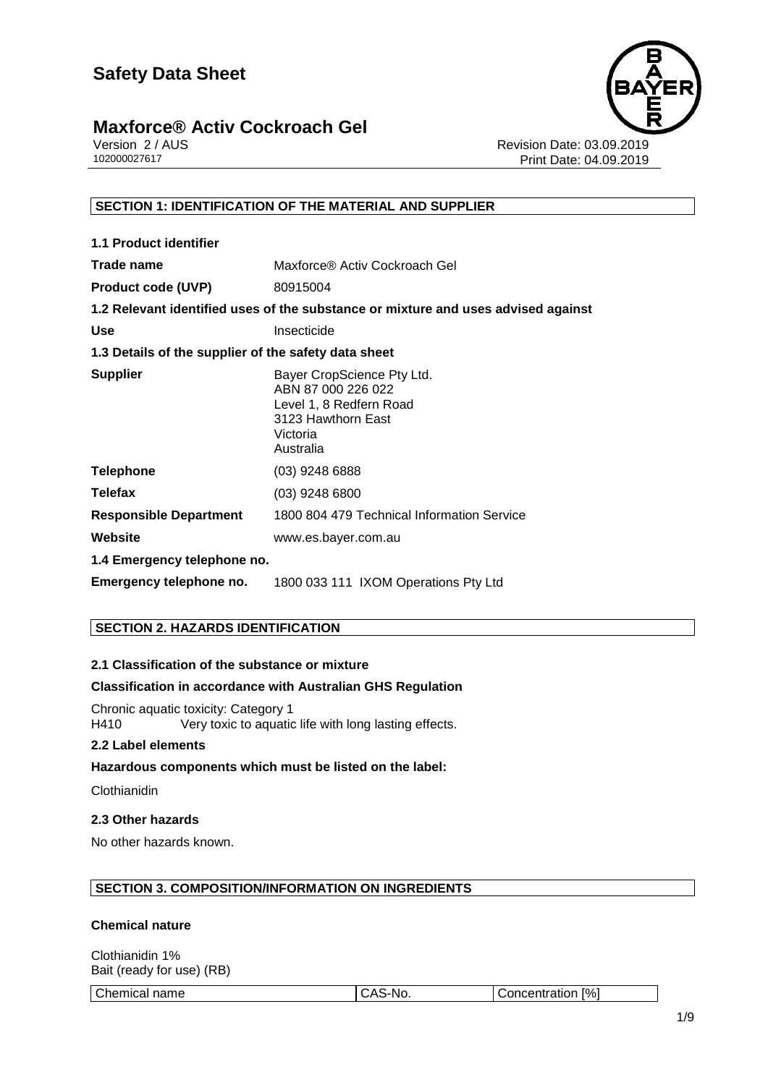

Version 2 / AUS<br>102000027617<br>Print Date: 04.09.2019 Print Date: 04.09.2019

#### **SECTION 1: IDENTIFICATION OF THE MATERIAL AND SUPPLIER**

| <b>1.1 Product identifier</b>                        |                                                                                                                            |
|------------------------------------------------------|----------------------------------------------------------------------------------------------------------------------------|
| Trade name                                           | Maxforce® Activ Cockroach Gel                                                                                              |
| <b>Product code (UVP)</b>                            | 80915004                                                                                                                   |
|                                                      | 1.2 Relevant identified uses of the substance or mixture and uses advised against                                          |
| <b>Use</b>                                           | Insecticide                                                                                                                |
| 1.3 Details of the supplier of the safety data sheet |                                                                                                                            |
| <b>Supplier</b>                                      | Bayer CropScience Pty Ltd.<br>ABN 87 000 226 022<br>Level 1, 8 Redfern Road<br>3123 Hawthorn East<br>Victoria<br>Australia |
| <b>Telephone</b>                                     | $(03)$ 9248 6888                                                                                                           |
| <b>Telefax</b>                                       | $(03)$ 9248 6800                                                                                                           |
| <b>Responsible Department</b>                        | 1800 804 479 Technical Information Service                                                                                 |
| Website                                              | www.es.bayer.com.au                                                                                                        |
| 1.4 Emergency telephone no.                          |                                                                                                                            |
| Emergency telephone no.                              | 1800 033 111 IXOM Operations Pty Ltd                                                                                       |

#### **SECTION 2. HAZARDS IDENTIFICATION**

#### **2.1 Classification of the substance or mixture**

#### **Classification in accordance with Australian GHS Regulation**

Chronic aquatic toxicity: Category 1 H410 Very toxic to aquatic life with long lasting effects.

#### **2.2 Label elements**

#### **Hazardous components which must be listed on the label:**

**Clothianidin** 

#### **2.3 Other hazards**

No other hazards known.

#### **SECTION 3. COMPOSITION/INFORMATION ON INGREDIENTS**

#### **Chemical nature**

Clothianidin 1% Bait (ready for use) (RB)

Chemical name  $|$ CAS-No.  $|$  Concentration [%]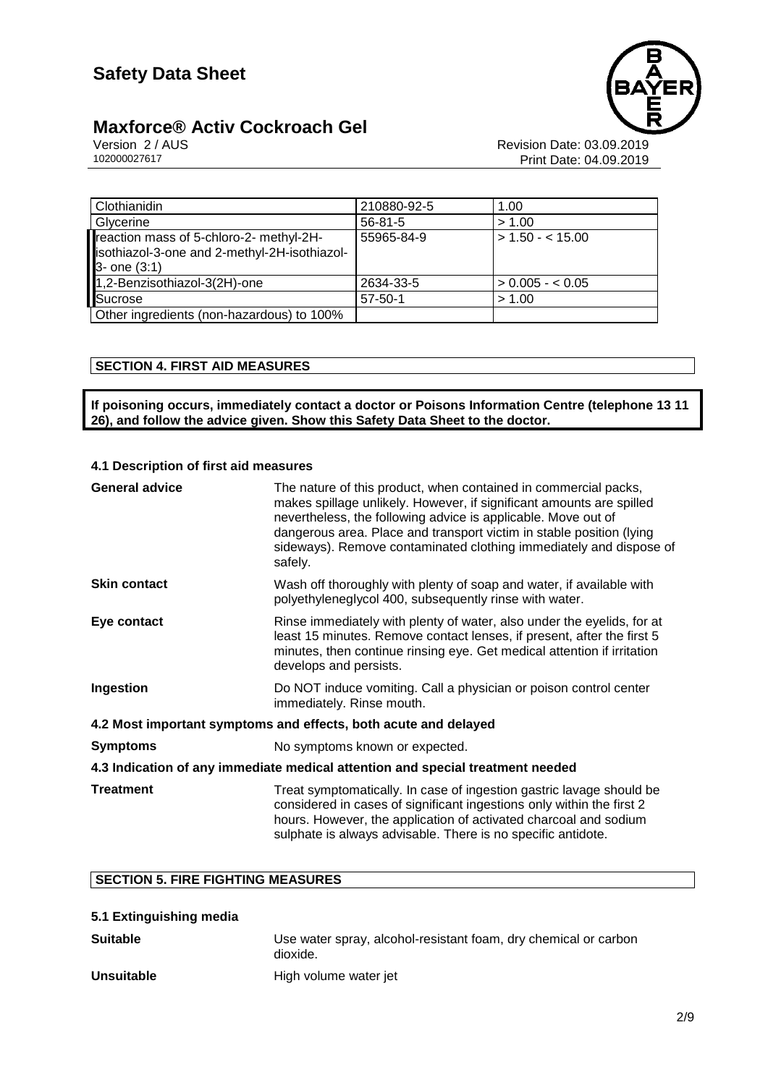# **Maxforce® Activ Cockroach Gel** Version 2/AUS



Version 2 / AUS<br>102000027617<br>Print Date: 04.09.2019 Print Date: 04.09.2019

| Clothianidin                                                                                            | 210880-92-5   | 1.00                |
|---------------------------------------------------------------------------------------------------------|---------------|---------------------|
| Glycerine                                                                                               | $56 - 81 - 5$ | > 1.00              |
| reaction mass of 5-chloro-2- methyl-2H-<br>isothiazol-3-one and 2-methyl-2H-isothiazol-<br>3- one (3:1) | 55965-84-9    | $\geq 1.50 - 1.500$ |
| 1,2-Benzisothiazol-3(2H)-one                                                                            | 2634-33-5     | $> 0.005 - 0.05$    |
| <b>Sucrose</b>                                                                                          | $57 - 50 - 1$ | > 1.00              |
| Other ingredients (non-hazardous) to 100%                                                               |               |                     |

#### **SECTION 4. FIRST AID MEASURES**

**If poisoning occurs, immediately contact a doctor or Poisons Information Centre (telephone 13 11 26), and follow the advice given. Show this Safety Data Sheet to the doctor.**

#### **4.1 Description of first aid measures**

| <b>General advice</b>                                                          | The nature of this product, when contained in commercial packs,<br>makes spillage unlikely. However, if significant amounts are spilled<br>nevertheless, the following advice is applicable. Move out of<br>dangerous area. Place and transport victim in stable position (lying<br>sideways). Remove contaminated clothing immediately and dispose of<br>safely. |  |
|--------------------------------------------------------------------------------|-------------------------------------------------------------------------------------------------------------------------------------------------------------------------------------------------------------------------------------------------------------------------------------------------------------------------------------------------------------------|--|
| <b>Skin contact</b>                                                            | Wash off thoroughly with plenty of soap and water, if available with<br>polyethyleneglycol 400, subsequently rinse with water.                                                                                                                                                                                                                                    |  |
| Eye contact                                                                    | Rinse immediately with plenty of water, also under the eyelids, for at<br>least 15 minutes. Remove contact lenses, if present, after the first 5<br>minutes, then continue rinsing eye. Get medical attention if irritation<br>develops and persists.                                                                                                             |  |
| Ingestion                                                                      | Do NOT induce vomiting. Call a physician or poison control center<br>immediately. Rinse mouth.                                                                                                                                                                                                                                                                    |  |
| 4.2 Most important symptoms and effects, both acute and delayed                |                                                                                                                                                                                                                                                                                                                                                                   |  |
| <b>Symptoms</b>                                                                | No symptoms known or expected.                                                                                                                                                                                                                                                                                                                                    |  |
| 4.3 Indication of any immediate medical attention and special treatment needed |                                                                                                                                                                                                                                                                                                                                                                   |  |
| <b>Treatment</b>                                                               | Treat symptomatically. In case of ingestion gastric lavage should be<br>considered in cases of significant ingestions only within the first 2<br>hours. However, the application of activated charcoal and sodium<br>sulphate is always advisable. There is no specific antidote.                                                                                 |  |

#### **SECTION 5. FIRE FIGHTING MEASURES**

|  | 5.1 Extinguishing media |  |
|--|-------------------------|--|
|--|-------------------------|--|

| <b>Suitable</b>   | Use water spray, alcohol-resistant foam, dry chemical or carbon<br>dioxide. |
|-------------------|-----------------------------------------------------------------------------|
| <b>Unsuitable</b> | High volume water jet                                                       |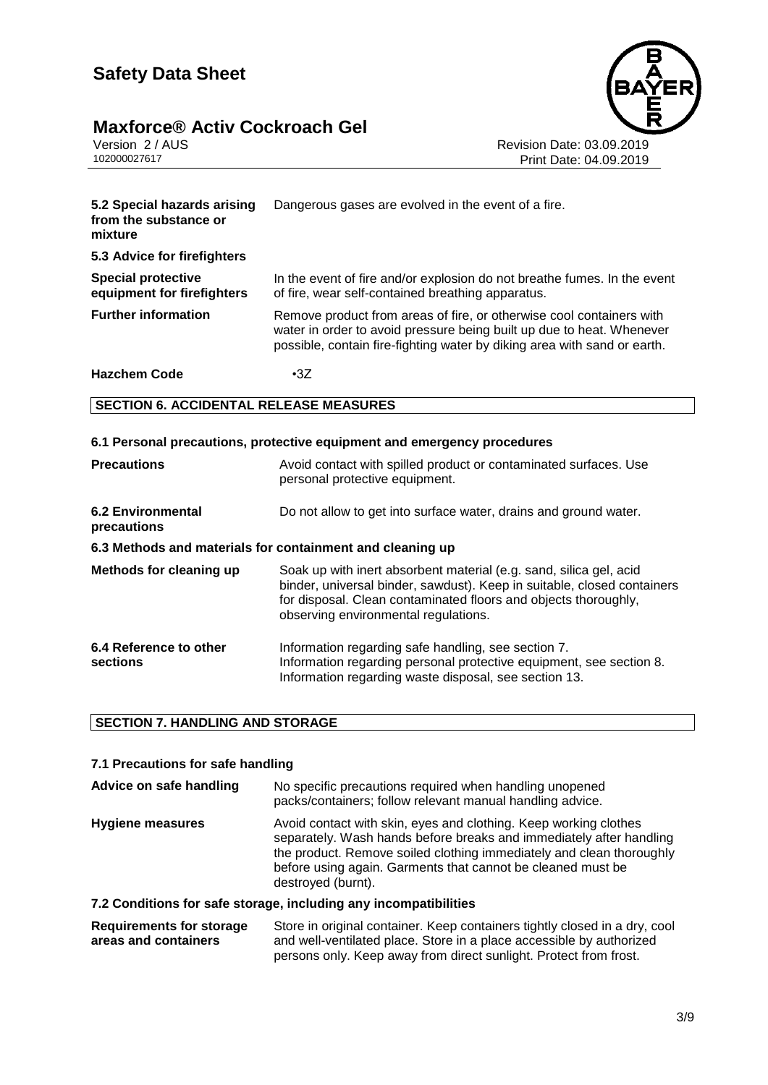# **Maxforce® Activ Cockroach Gel** Version 2 / AUS<br>102000027617



Revision Date: 03.09.2019 Print Date: 04.09.2019

| 5.2 Special hazards arising<br>from the substance or<br>mixture | Dangerous gases are evolved in the event of a fire.                                                                                                                                                                       |
|-----------------------------------------------------------------|---------------------------------------------------------------------------------------------------------------------------------------------------------------------------------------------------------------------------|
| 5.3 Advice for firefighters                                     |                                                                                                                                                                                                                           |
| <b>Special protective</b><br>equipment for firefighters         | In the event of fire and/or explosion do not breathe fumes. In the event<br>of fire, wear self-contained breathing apparatus.                                                                                             |
| <b>Further information</b>                                      | Remove product from areas of fire, or otherwise cool containers with<br>water in order to avoid pressure being built up due to heat. Whenever<br>possible, contain fire-fighting water by diking area with sand or earth. |
| <b>Hazchem Code</b>                                             | $\cdot$ 3Z                                                                                                                                                                                                                |
| <b>SECTION 6. ACCIDENTAL RELEASE MEASURES</b>                   |                                                                                                                                                                                                                           |
|                                                                 | 6.1 Personal precautions, protective equipment and emergency procedures                                                                                                                                                   |

| <b>Precautions</b>                                        | Avoid contact with spilled product or contaminated surfaces. Use<br>personal protective equipment.                                                                                                                                                       |  |  |
|-----------------------------------------------------------|----------------------------------------------------------------------------------------------------------------------------------------------------------------------------------------------------------------------------------------------------------|--|--|
| <b>6.2 Environmental</b><br>precautions                   | Do not allow to get into surface water, drains and ground water.                                                                                                                                                                                         |  |  |
| 6.3 Methods and materials for containment and cleaning up |                                                                                                                                                                                                                                                          |  |  |
| Methods for cleaning up                                   | Soak up with inert absorbent material (e.g. sand, silica gel, acid<br>binder, universal binder, sawdust). Keep in suitable, closed containers<br>for disposal. Clean contaminated floors and objects thoroughly,<br>observing environmental regulations. |  |  |
| 6.4 Reference to other<br>sections                        | Information regarding safe handling, see section 7.<br>Information regarding personal protective equipment, see section 8.<br>Information regarding waste disposal, see section 13.                                                                      |  |  |

#### **SECTION 7. HANDLING AND STORAGE**

#### **7.1 Precautions for safe handling**

| Advice on safe handling | No specific precautions required when handling unopened<br>packs/containers; follow relevant manual handling advice.                                                                                                                                                                                 |
|-------------------------|------------------------------------------------------------------------------------------------------------------------------------------------------------------------------------------------------------------------------------------------------------------------------------------------------|
| <b>Hygiene measures</b> | Avoid contact with skin, eyes and clothing. Keep working clothes<br>separately. Wash hands before breaks and immediately after handling<br>the product. Remove soiled clothing immediately and clean thoroughly<br>before using again. Garments that cannot be cleaned must be<br>destroyed (burnt). |

#### **7.2 Conditions for safe storage, including any incompatibilities**

| Requirements for storage | Store in original container. Keep containers tightly closed in a dry, cool |
|--------------------------|----------------------------------------------------------------------------|
| areas and containers     | and well-ventilated place. Store in a place accessible by authorized       |
|                          | persons only. Keep away from direct sunlight. Protect from frost.          |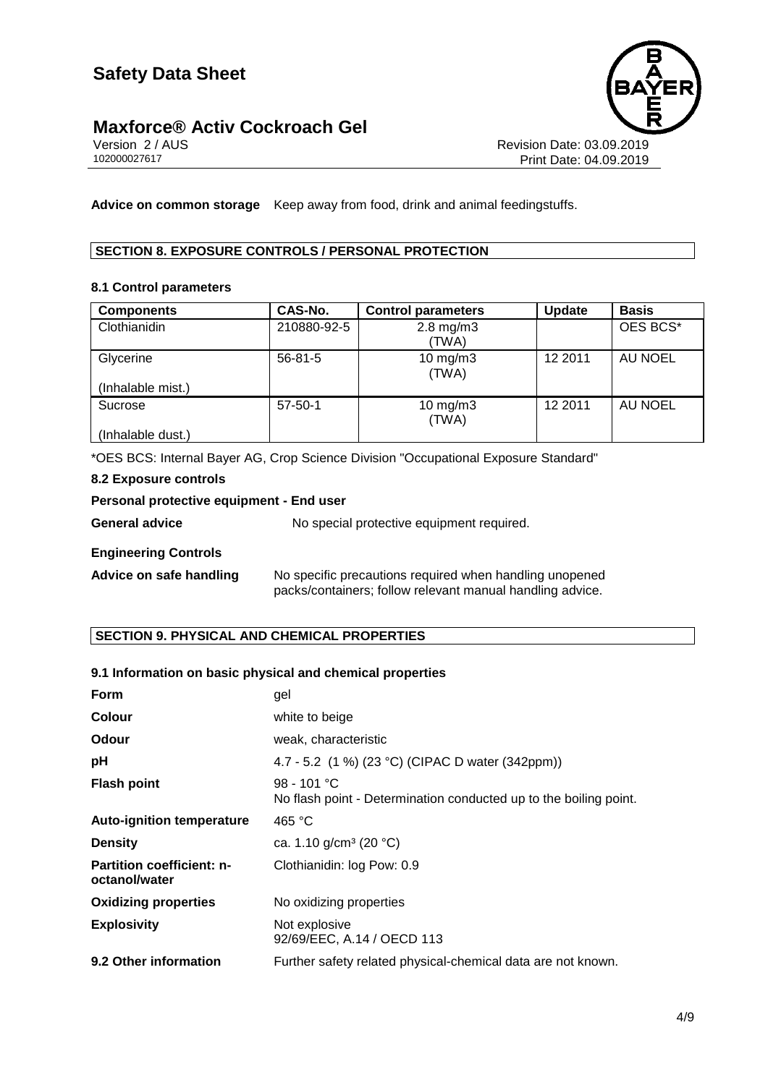# **Maxforce® Activ Cockroach Gel** Version 2/AUS



Version 2 / AUS<br>102000027617<br>Print Date: 04.09.2019 Print Date: 04.09.2019

**Advice on common storage** Keep away from food, drink and animal feedingstuffs.

#### **SECTION 8. EXPOSURE CONTROLS / PERSONAL PROTECTION**

#### **8.1 Control parameters**

| <b>Components</b> | CAS-No.       | <b>Control parameters</b> | <b>Update</b> | <b>Basis</b> |
|-------------------|---------------|---------------------------|---------------|--------------|
| Clothianidin      | 210880-92-5   | $2.8$ mg/m $3$<br>(TWA)   |               | OES BCS*     |
| Glycerine         | $56 - 81 - 5$ | $10$ mg/m $3$<br>(TWA)    | 12 2011       | AU NOEL      |
| (Inhalable mist.) |               |                           |               |              |
| Sucrose           | $57 - 50 - 1$ | $10$ mg/m $3$<br>(TWA)    | 12 2011       | AU NOEL      |
| (Inhalable dust.) |               |                           |               |              |

\*OES BCS: Internal Bayer AG, Crop Science Division "Occupational Exposure Standard"

#### **8.2 Exposure controls**

#### **Personal protective equipment - End user**

| General advice | No special protective equipment required. |
|----------------|-------------------------------------------|
|                |                                           |

#### **Engineering Controls**

| Advice on safe handling | No specific precautions required when handling unopened   |
|-------------------------|-----------------------------------------------------------|
|                         | packs/containers; follow relevant manual handling advice. |

#### **SECTION 9. PHYSICAL AND CHEMICAL PROPERTIES**

#### **9.1 Information on basic physical and chemical properties**

| <b>Form</b>                                       | gel                                                                                |
|---------------------------------------------------|------------------------------------------------------------------------------------|
| <b>Colour</b>                                     | white to beige                                                                     |
| <b>Odour</b>                                      | weak, characteristic                                                               |
| pH                                                | 4.7 - 5.2 (1 %) (23 °C) (CIPAC D water (342ppm))                                   |
| <b>Flash point</b>                                | $98 - 101 °C$<br>No flash point - Determination conducted up to the boiling point. |
| <b>Auto-ignition temperature</b>                  | 465 $^{\circ}$ C                                                                   |
| <b>Density</b>                                    | ca. 1.10 g/cm <sup>3</sup> (20 $^{\circ}$ C)                                       |
| <b>Partition coefficient: n-</b><br>octanol/water | Clothianidin: log Pow: 0.9                                                         |
| <b>Oxidizing properties</b>                       | No oxidizing properties                                                            |
| <b>Explosivity</b>                                | Not explosive<br>92/69/EEC, A.14 / OECD 113                                        |
| 9.2 Other information                             | Further safety related physical-chemical data are not known.                       |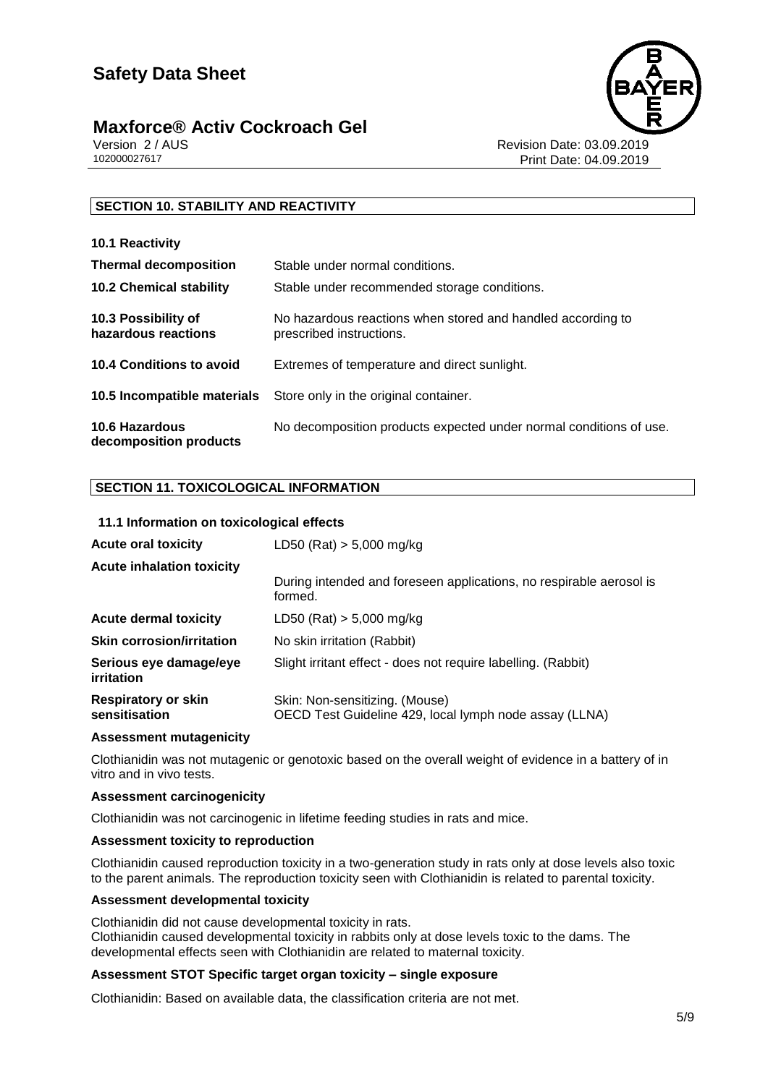

Version 2 / AUS<br>102000027617<br>Print Date: 04.09.2019 Print Date: 04.09.2019

#### **SECTION 10. STABILITY AND REACTIVITY**

| 10.1 Reactivity                            |                                                                                         |
|--------------------------------------------|-----------------------------------------------------------------------------------------|
| <b>Thermal decomposition</b>               | Stable under normal conditions.                                                         |
| <b>10.2 Chemical stability</b>             | Stable under recommended storage conditions.                                            |
| 10.3 Possibility of<br>hazardous reactions | No hazardous reactions when stored and handled according to<br>prescribed instructions. |
| 10.4 Conditions to avoid                   | Extremes of temperature and direct sunlight.                                            |
| 10.5 Incompatible materials                | Store only in the original container.                                                   |
| 10.6 Hazardous<br>decomposition products   | No decomposition products expected under normal conditions of use.                      |

#### **SECTION 11. TOXICOLOGICAL INFORMATION**

#### **11.1 Information on toxicological effects**

| <b>Acute oral toxicity</b>                  | LD50 (Rat) $> 5,000$ mg/kg                                                               |
|---------------------------------------------|------------------------------------------------------------------------------------------|
| <b>Acute inhalation toxicity</b>            | During intended and foreseen applications, no respirable aerosol is<br>formed.           |
| <b>Acute dermal toxicity</b>                | LD50 (Rat) $> 5,000$ mg/kg                                                               |
| <b>Skin corrosion/irritation</b>            | No skin irritation (Rabbit)                                                              |
| Serious eye damage/eye<br>irritation        | Slight irritant effect - does not require labelling. (Rabbit)                            |
| <b>Respiratory or skin</b><br>sensitisation | Skin: Non-sensitizing. (Mouse)<br>OECD Test Guideline 429, local lymph node assay (LLNA) |
|                                             |                                                                                          |

#### **Assessment mutagenicity**

Clothianidin was not mutagenic or genotoxic based on the overall weight of evidence in a battery of in vitro and in vivo tests.

#### **Assessment carcinogenicity**

Clothianidin was not carcinogenic in lifetime feeding studies in rats and mice.

#### **Assessment toxicity to reproduction**

Clothianidin caused reproduction toxicity in a two-generation study in rats only at dose levels also toxic to the parent animals. The reproduction toxicity seen with Clothianidin is related to parental toxicity.

#### **Assessment developmental toxicity**

Clothianidin did not cause developmental toxicity in rats. Clothianidin caused developmental toxicity in rabbits only at dose levels toxic to the dams. The developmental effects seen with Clothianidin are related to maternal toxicity.

#### **Assessment STOT Specific target organ toxicity – single exposure**

Clothianidin: Based on available data, the classification criteria are not met.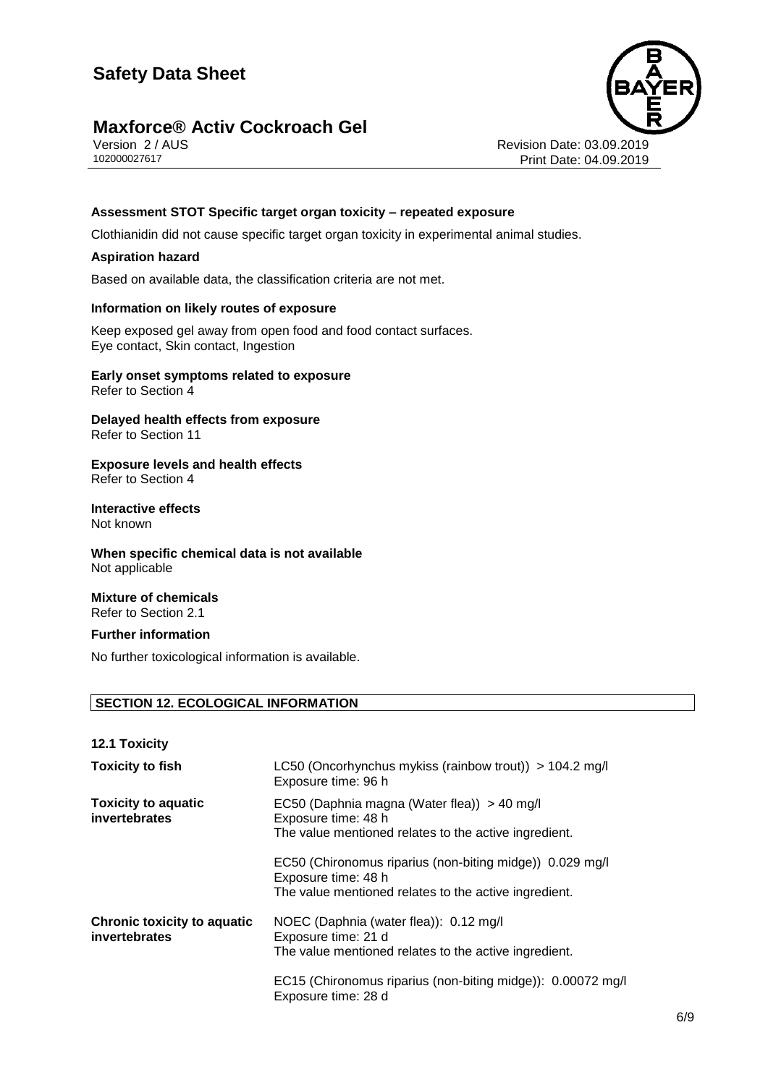

Version 2 / AUS<br>102000027617<br>Print Date: 04.09.2019 Print Date: 04.09.2019

#### **Assessment STOT Specific target organ toxicity – repeated exposure**

Clothianidin did not cause specific target organ toxicity in experimental animal studies.

#### **Aspiration hazard**

Based on available data, the classification criteria are not met.

#### **Information on likely routes of exposure**

Keep exposed gel away from open food and food contact surfaces. Eye contact, Skin contact, Ingestion

#### **Early onset symptoms related to exposure** Refer to Section 4

**Delayed health effects from exposure** Refer to Section 11

**Exposure levels and health effects** Refer to Section 4

**Interactive effects** Not known

**When specific chemical data is not available** Not applicable

**Mixture of chemicals** Refer to Section 2.1

#### **Further information**

No further toxicological information is available.

#### **SECTION 12. ECOLOGICAL INFORMATION**

**12.1 Toxicity**

| <b>Toxicity to fish</b>                             | LC50 (Oncorhynchus mykiss (rainbow trout)) $> 104.2$ mg/l<br>Exposure time: 96 h                                                         |
|-----------------------------------------------------|------------------------------------------------------------------------------------------------------------------------------------------|
| <b>Toxicity to aquatic</b><br>invertebrates         | EC50 (Daphnia magna (Water flea)) > 40 mg/l<br>Exposure time: 48 h<br>The value mentioned relates to the active ingredient.              |
|                                                     | EC50 (Chironomus riparius (non-biting midge)) 0.029 mg/l<br>Exposure time: 48 h<br>The value mentioned relates to the active ingredient. |
| <b>Chronic toxicity to aquatic</b><br>invertebrates | NOEC (Daphnia (water flea)): 0.12 mg/l<br>Exposure time: 21 d<br>The value mentioned relates to the active ingredient.                   |
|                                                     | EC15 (Chironomus riparius (non-biting midge)): 0.00072 mg/l<br>Exposure time: 28 d                                                       |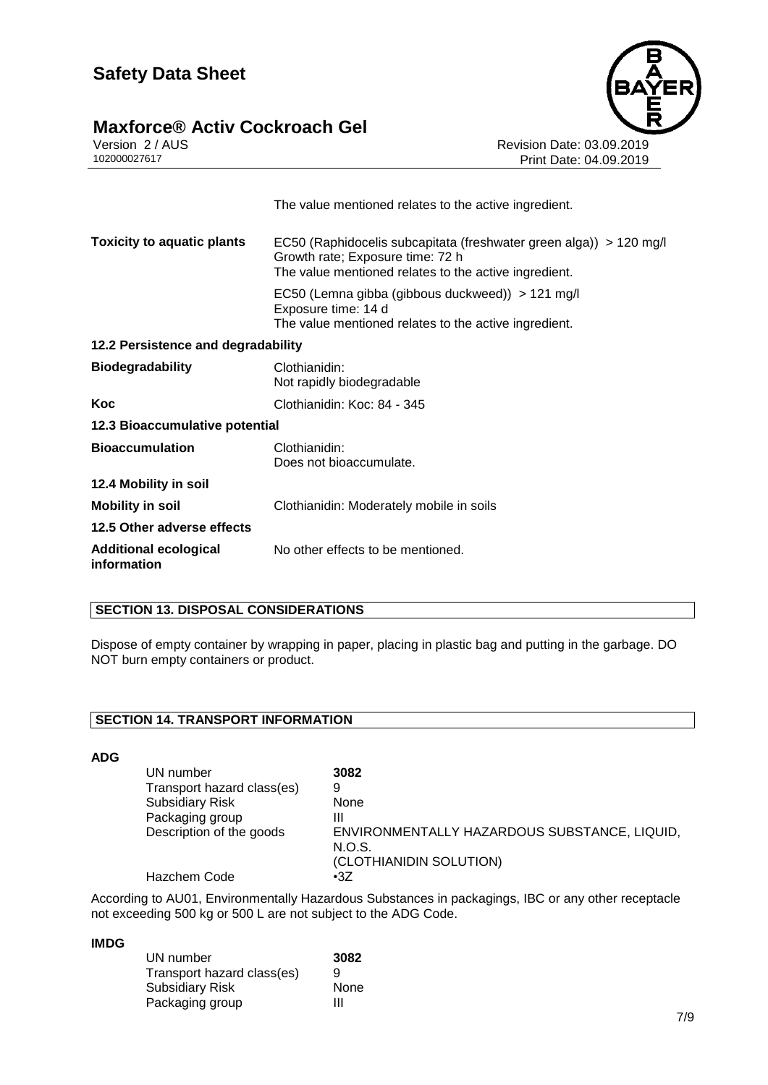# **Maxforce® Activ Cockroach Gel** Version 2/AUS



Version 2 / AUS<br>102000027617<br>Print Date: 04.09.2019 Print Date: 04.09.2019

|                                             | The value mentioned relates to the active ingredient.                                                                                                           |
|---------------------------------------------|-----------------------------------------------------------------------------------------------------------------------------------------------------------------|
| <b>Toxicity to aquatic plants</b>           | EC50 (Raphidocelis subcapitata (freshwater green alga)) > 120 mg/l<br>Growth rate; Exposure time: 72 h<br>The value mentioned relates to the active ingredient. |
|                                             | EC50 (Lemna gibba (gibbous duckweed)) > 121 mg/l<br>Exposure time: 14 d<br>The value mentioned relates to the active ingredient.                                |
| 12.2 Persistence and degradability          |                                                                                                                                                                 |
| <b>Biodegradability</b>                     | Clothianidin:<br>Not rapidly biodegradable                                                                                                                      |
| Koc                                         | Clothianidin: Koc: 84 - 345                                                                                                                                     |
| 12.3 Bioaccumulative potential              |                                                                                                                                                                 |
| <b>Bioaccumulation</b>                      | Clothianidin:<br>Does not bioaccumulate.                                                                                                                        |
| 12.4 Mobility in soil                       |                                                                                                                                                                 |
| Mobility in soil                            | Clothianidin: Moderately mobile in soils                                                                                                                        |
| 12.5 Other adverse effects                  |                                                                                                                                                                 |
| <b>Additional ecological</b><br>information | No other effects to be mentioned.                                                                                                                               |
|                                             |                                                                                                                                                                 |

#### **SECTION 13. DISPOSAL CONSIDERATIONS**

Dispose of empty container by wrapping in paper, placing in plastic bag and putting in the garbage. DO NOT burn empty containers or product.

#### **SECTION 14. TRANSPORT INFORMATION**

#### **ADG**

| UN number                  | 3082                                         |
|----------------------------|----------------------------------------------|
| Transport hazard class(es) | 9                                            |
| <b>Subsidiary Risk</b>     | None                                         |
| Packaging group            | Ш                                            |
| Description of the goods   | ENVIRONMENTALLY HAZARDOUS SUBSTANCE, LIQUID, |
|                            | N.O.S.                                       |
|                            | (CLOTHIANIDIN SOLUTION)                      |
| <b>Hazchem Code</b>        | •3Z                                          |

According to AU01, Environmentally Hazardous Substances in packagings, IBC or any other receptacle not exceeding 500 kg or 500 L are not subject to the ADG Code.

#### **IMDG**

| UN number                  | 3082 |
|----------------------------|------|
| Transport hazard class(es) | 9    |
| <b>Subsidiary Risk</b>     | None |
| Packaging group            | Ш    |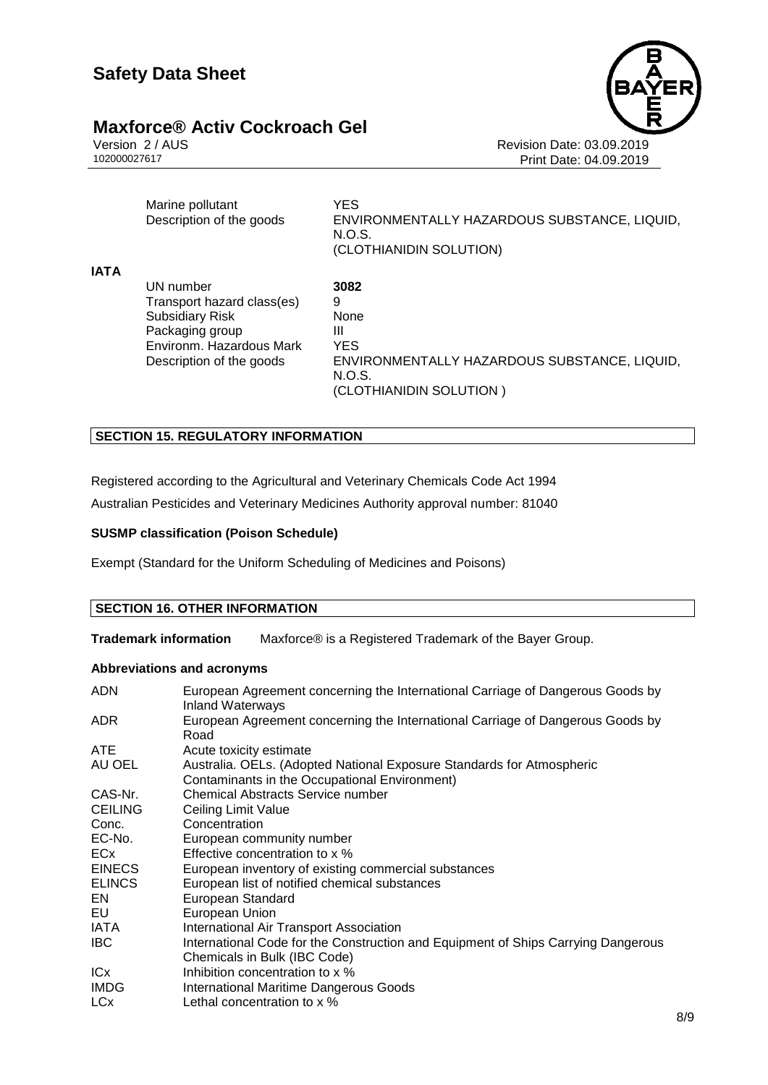

Version 2 / AUS<br>102000027617<br>Print Date: 04.09.2019 Print Date: 04.09.2019

| Marine pollutant         | YES.                                                   |
|--------------------------|--------------------------------------------------------|
| Description of the goods | ENVIRONMENTALLY HAZARDOUS SUBSTANCE, LIQUID,<br>N.O.S. |
|                          | (CLOTHIANIDIN SOLUTION)                                |

**IATA**

UN number **3082** Transport hazard class(es) 9<br>Subsidiary Risk 9 None Subsidiary Risk Packaging group III Environm. Hazardous Mark YES

Description of the goods ENVIRONMENTALLY HAZARDOUS SUBSTANCE, LIQUID, N.O.S. (CLOTHIANIDIN SOLUTION )

#### **SECTION 15. REGULATORY INFORMATION**

Registered according to the Agricultural and Veterinary Chemicals Code Act 1994

Australian Pesticides and Veterinary Medicines Authority approval number: 81040

#### **SUSMP classification (Poison Schedule)**

Exempt (Standard for the Uniform Scheduling of Medicines and Poisons)

#### **SECTION 16. OTHER INFORMATION**

**Trademark information** Maxforce® is a Registered Trademark of the Bayer Group.

#### **Abbreviations and acronyms**

| <b>ADN</b>            | European Agreement concerning the International Carriage of Dangerous Goods by<br><b>Inland Waterways</b>              |
|-----------------------|------------------------------------------------------------------------------------------------------------------------|
| ADR                   | European Agreement concerning the International Carriage of Dangerous Goods by<br>Road                                 |
| ATE.                  | Acute toxicity estimate                                                                                                |
| AU OEL                | Australia. OELs. (Adopted National Exposure Standards for Atmospheric<br>Contaminants in the Occupational Environment) |
| CAS-Nr.               | <b>Chemical Abstracts Service number</b>                                                                               |
| <b>CEILING</b>        | Ceiling Limit Value                                                                                                    |
| Conc.                 | Concentration                                                                                                          |
| EC-No.                | European community number                                                                                              |
| ECx                   | Effective concentration to x %                                                                                         |
| <b>EINECS</b>         | European inventory of existing commercial substances                                                                   |
| <b>ELINCS</b>         | European list of notified chemical substances                                                                          |
| EN                    | European Standard                                                                                                      |
| EU                    | European Union                                                                                                         |
| IATA                  | International Air Transport Association                                                                                |
| <b>IBC</b>            | International Code for the Construction and Equipment of Ships Carrying Dangerous<br>Chemicals in Bulk (IBC Code)      |
| ICx                   | Inhibition concentration to x %                                                                                        |
| <b>IMDG</b>           | <b>International Maritime Dangerous Goods</b>                                                                          |
| <b>LC<sub>x</sub></b> | Lethal concentration to x %                                                                                            |